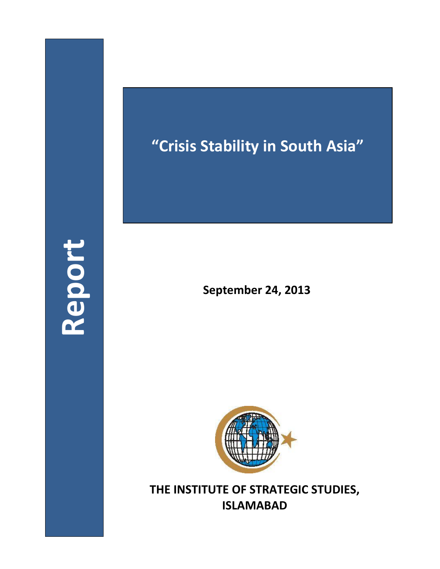## **Report**

## **"Crisis Stability in South Asia"**

**September 24, 2013**



**THE INSTITUTE OF STRATEGIC STUDIES, ISLAMABAD**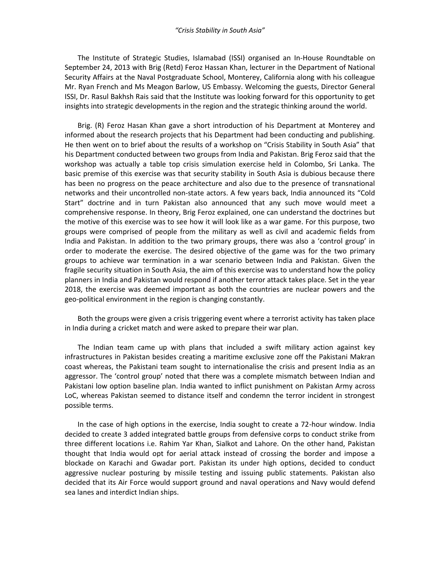## *"Crisis Stability in South Asia"*

The Institute of Strategic Studies, Islamabad (ISSI) organised an In-House Roundtable on September 24, 2013 with Brig (Retd) Feroz Hassan Khan, lecturer in the Department of National Security Affairs at the Naval Postgraduate School, Monterey, California along with his colleague Mr. Ryan French and Ms Meagon Barlow, US Embassy. Welcoming the guests, Director General ISSI, Dr. Rasul Bakhsh Rais said that the Institute was looking forward for this opportunity to get insights into strategic developments in the region and the strategic thinking around the world.

Brig. (R) Feroz Hasan Khan gave a short introduction of his Department at Monterey and informed about the research projects that his Department had been conducting and publishing. He then went on to brief about the results of a workshop on "Crisis Stability in South Asia" that his Department conducted between two groups from India and Pakistan. Brig Feroz said that the workshop was actually a table top crisis simulation exercise held in Colombo, Sri Lanka. The basic premise of this exercise was that security stability in South Asia is dubious because there has been no progress on the peace architecture and also due to the presence of transnational networks and their uncontrolled non-state actors. A few years back, India announced its "Cold Start" doctrine and in turn Pakistan also announced that any such move would meet a comprehensive response. In theory, Brig Feroz explained, one can understand the doctrines but the motive of this exercise was to see how it will look like as a war game. For this purpose, two groups were comprised of people from the military as well as civil and academic fields from India and Pakistan. In addition to the two primary groups, there was also a 'control group' in order to moderate the exercise. The desired objective of the game was for the two primary groups to achieve war termination in a war scenario between India and Pakistan. Given the fragile security situation in South Asia, the aim of this exercise was to understand how the policy planners in India and Pakistan would respond if another terror attack takes place. Set in the year 2018, the exercise was deemed important as both the countries are nuclear powers and the geo-political environment in the region is changing constantly.

Both the groups were given a crisis triggering event where a terrorist activity has taken place in India during a cricket match and were asked to prepare their war plan.

The Indian team came up with plans that included a swift military action against key infrastructures in Pakistan besides creating a maritime exclusive zone off the Pakistani Makran coast whereas, the Pakistani team sought to internationalise the crisis and present India as an aggressor. The 'control group' noted that there was a complete mismatch between Indian and Pakistani low option baseline plan. India wanted to inflict punishment on Pakistan Army across LoC, whereas Pakistan seemed to distance itself and condemn the terror incident in strongest possible terms.

In the case of high options in the exercise, India sought to create a 72-hour window. India decided to create 3 added integrated battle groups from defensive corps to conduct strike from three different locations i.e. Rahim Yar Khan, Sialkot and Lahore. On the other hand, Pakistan thought that India would opt for aerial attack instead of crossing the border and impose a blockade on Karachi and Gwadar port. Pakistan its under high options, decided to conduct aggressive nuclear posturing by missile testing and issuing public statements. Pakistan also decided that its Air Force would support ground and naval operations and Navy would defend sea lanes and interdict Indian ships.